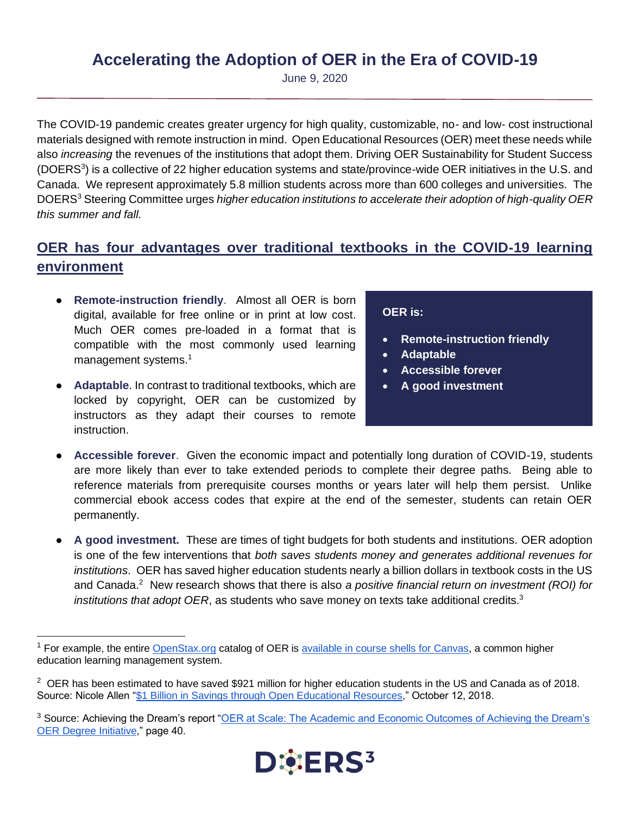# **Accelerating the Adoption of OER in the Era of COVID-19**

June 9, 2020

The COVID-19 pandemic creates greater urgency for high quality, customizable, no- and low- cost instructional materials designed with remote instruction in mind. Open Educational Resources (OER) meet these needs while also *increasing* the revenues of the institutions that adopt them. Driving OER Sustainability for Student Success (DOERS<sup>3</sup>) is a collective of 22 higher education systems and state/province-wide OER initiatives in the U.S. and Canada. We represent approximately 5.8 million students across more than 600 colleges and universities. The DOERS<sup>3</sup> Steering Committee urges *higher education institutions to accelerate their adoption of high-quality OER this summer and fall.*

## **OER has four advantages over traditional textbooks in the COVID-19 learning environment**

- **Remote-instruction friendly.** Almost all OER is born digital, available for free online or in print at low cost. Much OER comes pre-loaded in a format that is compatible with the most commonly used learning management systems.<sup>1</sup>
- **Adaptable**. In contrast to traditional textbooks, which are locked by copyright, OER can be customized by instructors as they adapt their courses to remote instruction.

### **OER is:**

- **Remote-instruction friendly**
- **Adaptable**
- **Accessible forever**
- **A good investment**
- **Accessible forever**. Given the economic impact and potentially long duration of COVID-19, students are more likely than ever to take extended periods to complete their degree paths. Being able to reference materials from prerequisite courses months or years later will help them persist. Unlike commercial ebook access codes that expire at the end of the semester, students can retain OER permanently.
- **A good investment.** These are times of tight budgets for both students and institutions. OER adoption is one of the few interventions that *both saves students money and generates additional revenues for institutions*. OER has saved higher education students nearly a billion dollars in textbook costs in the US and Canada.<sup>2</sup> New research shows that there is also a positive financial return on investment (ROI) for institutions that adopt OER, as students who save money on texts take additional credits.<sup>3</sup>

<sup>&</sup>lt;sup>3</sup> Source: Achieving the Dream's report "OER at Scale: The Academic and Economic Outcomes of Achieving the Dream's [OER Degree Initiative,](https://www.achievingthedream.org/system/files_force/resources/atd_oer_at_scale_academic_economic_outcomes_feb_2020.pdf)" page 40.



<sup>&</sup>lt;sup>1</sup> For example, the entire [OpenStax.org](https://openstax.org/) catalog of OER is [available in course shells for Canvas,](https://openstax.org/blog/openstax-books-are-now-available-canvas-course-shells) a common higher education learning management system.

 $2$  OER has been estimated to have saved \$921 million for higher education students in the US and Canada as of 2018. Source: Nicole Allen ["\\$1 Billion in Savings through Open Educational Resources,](https://sparcopen.org/news/2018/1-billion-in-savings-through-open-educational-resources/)" October 12, 2018.